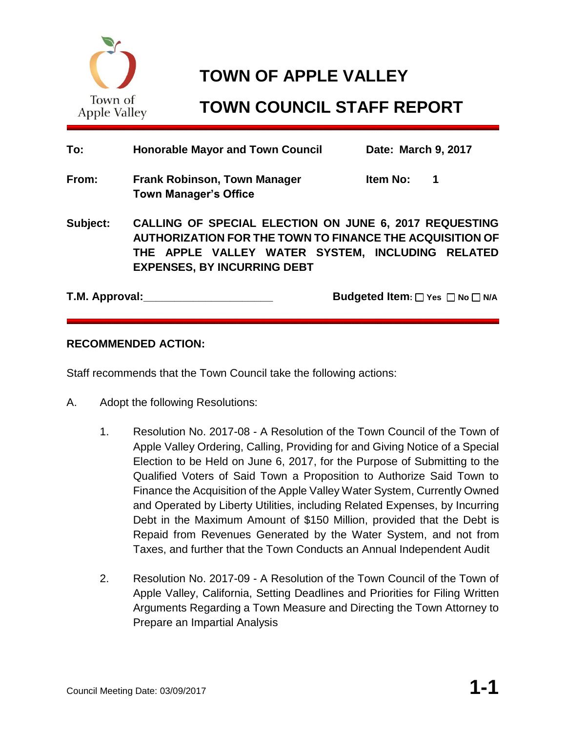

# **TOWN OF APPLE VALLEY**

# **TOWN COUNCIL STAFF REPORT**

| To:            | <b>Honorable Mayor and Town Council</b>                                                                                                                                                                             | Date: March 9, 2017                 |
|----------------|---------------------------------------------------------------------------------------------------------------------------------------------------------------------------------------------------------------------|-------------------------------------|
| From:          | <b>Frank Robinson, Town Manager</b><br><b>Town Manager's Office</b>                                                                                                                                                 | Item No:<br>1                       |
| Subject:       | <b>CALLING OF SPECIAL ELECTION ON JUNE 6, 2017 REQUESTING</b><br>AUTHORIZATION FOR THE TOWN TO FINANCE THE ACQUISITION OF<br>THE APPLE VALLEY WATER SYSTEM, INCLUDING RELATED<br><b>EXPENSES, BY INCURRING DEBT</b> |                                     |
| T.M. Approval: |                                                                                                                                                                                                                     | <b>Budgeted Item:</b> DYes DNo DN/A |

## **RECOMMENDED ACTION:**

Staff recommends that the Town Council take the following actions:

- A. Adopt the following Resolutions:
	- 1. Resolution No. 2017-08 A Resolution of the Town Council of the Town of Apple Valley Ordering, Calling, Providing for and Giving Notice of a Special Election to be Held on June 6, 2017, for the Purpose of Submitting to the Qualified Voters of Said Town a Proposition to Authorize Said Town to Finance the Acquisition of the Apple Valley Water System, Currently Owned and Operated by Liberty Utilities, including Related Expenses, by Incurring Debt in the Maximum Amount of \$150 Million, provided that the Debt is Repaid from Revenues Generated by the Water System, and not from Taxes, and further that the Town Conducts an Annual Independent Audit
	- 2. Resolution No. 2017-09 A Resolution of the Town Council of the Town of Apple Valley, California, Setting Deadlines and Priorities for Filing Written Arguments Regarding a Town Measure and Directing the Town Attorney to Prepare an Impartial Analysis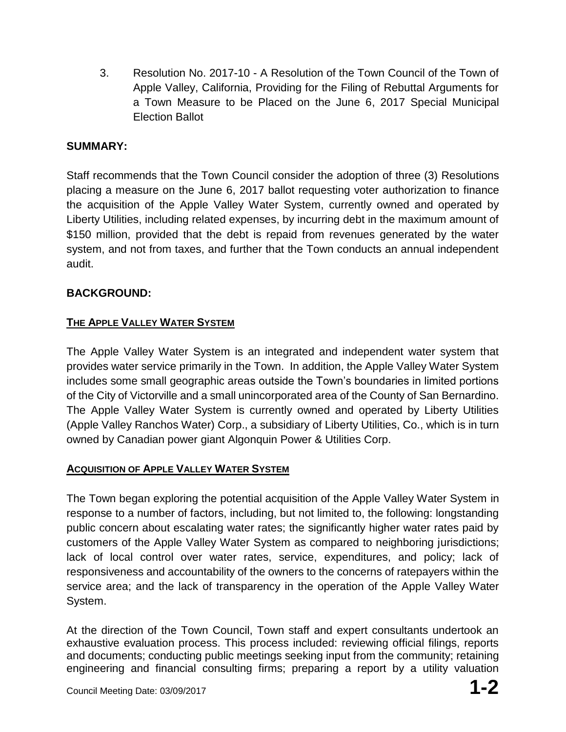3. Resolution No. 2017-10 - A Resolution of the Town Council of the Town of Apple Valley, California, Providing for the Filing of Rebuttal Arguments for a Town Measure to be Placed on the June 6, 2017 Special Municipal Election Ballot

# **SUMMARY:**

Staff recommends that the Town Council consider the adoption of three (3) Resolutions placing a measure on the June 6, 2017 ballot requesting voter authorization to finance the acquisition of the Apple Valley Water System, currently owned and operated by Liberty Utilities, including related expenses, by incurring debt in the maximum amount of \$150 million, provided that the debt is repaid from revenues generated by the water system, and not from taxes, and further that the Town conducts an annual independent audit.

# **BACKGROUND:**

# **THE APPLE VALLEY WATER SYSTEM**

The Apple Valley Water System is an integrated and independent water system that provides water service primarily in the Town. In addition, the Apple Valley Water System includes some small geographic areas outside the Town's boundaries in limited portions of the City of Victorville and a small unincorporated area of the County of San Bernardino. The Apple Valley Water System is currently owned and operated by Liberty Utilities (Apple Valley Ranchos Water) Corp., a subsidiary of Liberty Utilities, Co., which is in turn owned by Canadian power giant Algonquin Power & Utilities Corp.

## **ACQUISITION OF APPLE VALLEY WATER SYSTEM**

The Town began exploring the potential acquisition of the Apple Valley Water System in response to a number of factors, including, but not limited to, the following: longstanding public concern about escalating water rates; the significantly higher water rates paid by customers of the Apple Valley Water System as compared to neighboring jurisdictions; lack of local control over water rates, service, expenditures, and policy; lack of responsiveness and accountability of the owners to the concerns of ratepayers within the service area; and the lack of transparency in the operation of the Apple Valley Water System.

At the direction of the Town Council, Town staff and expert consultants undertook an exhaustive evaluation process. This process included: reviewing official filings, reports and documents; conducting public meetings seeking input from the community; retaining engineering and financial consulting firms; preparing a report by a utility valuation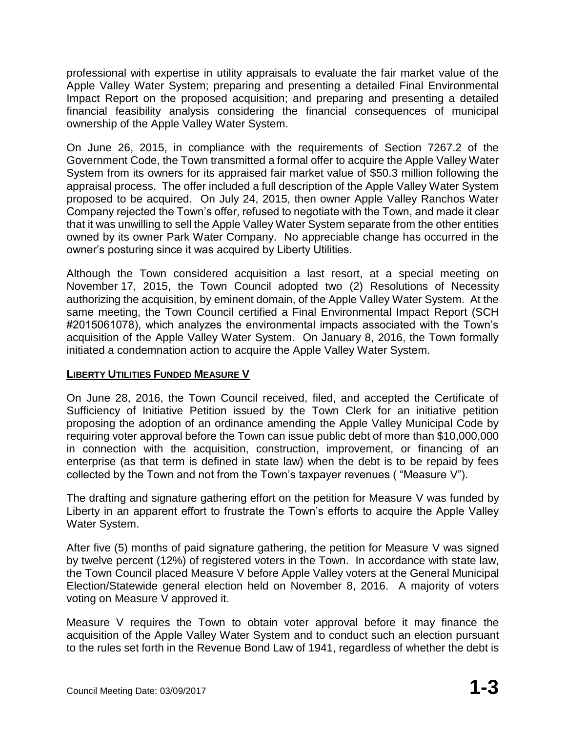professional with expertise in utility appraisals to evaluate the fair market value of the Apple Valley Water System; preparing and presenting a detailed Final Environmental Impact Report on the proposed acquisition; and preparing and presenting a detailed financial feasibility analysis considering the financial consequences of municipal ownership of the Apple Valley Water System.

On June 26, 2015, in compliance with the requirements of Section 7267.2 of the Government Code, the Town transmitted a formal offer to acquire the Apple Valley Water System from its owners for its appraised fair market value of \$50.3 million following the appraisal process. The offer included a full description of the Apple Valley Water System proposed to be acquired. On July 24, 2015, then owner Apple Valley Ranchos Water Company rejected the Town's offer, refused to negotiate with the Town, and made it clear that it was unwilling to sell the Apple Valley Water System separate from the other entities owned by its owner Park Water Company. No appreciable change has occurred in the owner's posturing since it was acquired by Liberty Utilities.

Although the Town considered acquisition a last resort, at a special meeting on November 17, 2015, the Town Council adopted two (2) Resolutions of Necessity authorizing the acquisition, by eminent domain, of the Apple Valley Water System. At the same meeting, the Town Council certified a Final Environmental Impact Report (SCH #2015061078), which analyzes the environmental impacts associated with the Town's acquisition of the Apple Valley Water System. On January 8, 2016, the Town formally initiated a condemnation action to acquire the Apple Valley Water System.

## **LIBERTY UTILITIES FUNDED MEASURE V**

On June 28, 2016, the Town Council received, filed, and accepted the Certificate of Sufficiency of Initiative Petition issued by the Town Clerk for an initiative petition proposing the adoption of an ordinance amending the Apple Valley Municipal Code by requiring voter approval before the Town can issue public debt of more than \$10,000,000 in connection with the acquisition, construction, improvement, or financing of an enterprise (as that term is defined in state law) when the debt is to be repaid by fees collected by the Town and not from the Town's taxpayer revenues ( "Measure V").

The drafting and signature gathering effort on the petition for Measure V was funded by Liberty in an apparent effort to frustrate the Town's efforts to acquire the Apple Valley Water System.

After five (5) months of paid signature gathering, the petition for Measure V was signed by twelve percent (12%) of registered voters in the Town. In accordance with state law, the Town Council placed Measure V before Apple Valley voters at the General Municipal Election/Statewide general election held on November 8, 2016. A majority of voters voting on Measure V approved it.

Measure V requires the Town to obtain voter approval before it may finance the acquisition of the Apple Valley Water System and to conduct such an election pursuant to the rules set forth in the Revenue Bond Law of 1941, regardless of whether the debt is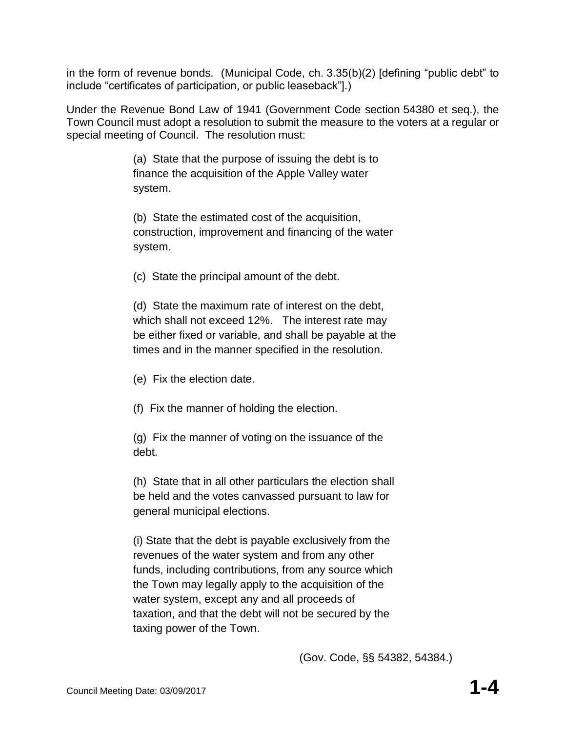in the form of revenue bonds. (Municipal Code, ch. 3.35(b)(2) [defining "public debt" to include "certificates of participation, or public leaseback"].)

Under the Revenue Bond Law of 1941 (Government Code section 54380 et seq.), the Town Council must adopt a resolution to submit the measure to the voters at a regular or special meeting of Council. The resolution must:

> (a) State that the purpose of issuing the debt is to finance the acquisition of the Apple Valley water system.

(b) State the estimated cost of the acquisition, construction, improvement and financing of the water system.

(c) State the principal amount of the debt.

(d) State the maximum rate of interest on the debt, which shall not exceed 12%. The interest rate may be either fixed or variable, and shall be payable at the times and in the manner specified in the resolution.

(e) Fix the election date.

(f) Fix the manner of holding the election.

(g) Fix the manner of voting on the issuance of the debt.

(h) State that in all other particulars the election shall be held and the votes canvassed pursuant to law for general municipal elections.

(i) State that the debt is payable exclusively from the revenues of the water system and from any other funds, including contributions, from any source which the Town may legally apply to the acquisition of the water system, except any and all proceeds of taxation, and that the debt will not be secured by the taxing power of the Town.

(Gov. Code, §§ 54382, 54384.)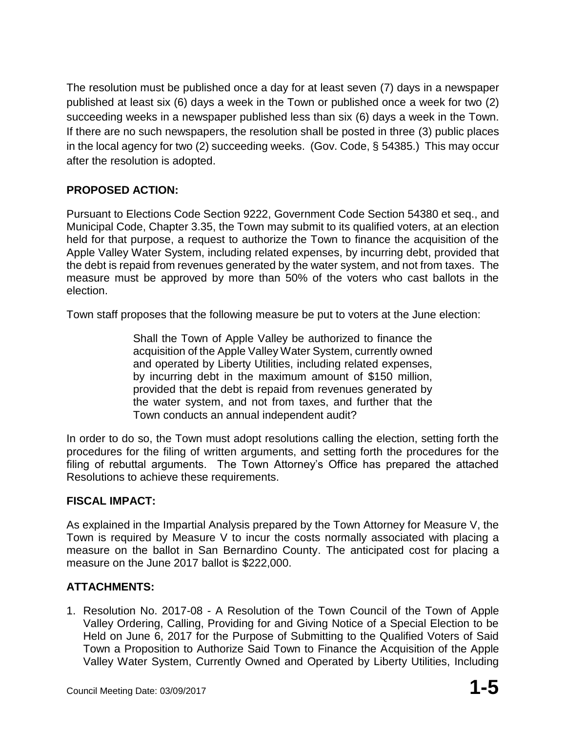The resolution must be published once a day for at least seven (7) days in a newspaper published at least six (6) days a week in the Town or published once a week for two (2) succeeding weeks in a newspaper published less than six (6) days a week in the Town. If there are no such newspapers, the resolution shall be posted in three (3) public places in the local agency for two (2) succeeding weeks. (Gov. Code, § 54385.) This may occur after the resolution is adopted.

# **PROPOSED ACTION:**

Pursuant to Elections Code Section 9222, Government Code Section 54380 et seq., and Municipal Code, Chapter 3.35, the Town may submit to its qualified voters, at an election held for that purpose, a request to authorize the Town to finance the acquisition of the Apple Valley Water System, including related expenses, by incurring debt, provided that the debt is repaid from revenues generated by the water system, and not from taxes. The measure must be approved by more than 50% of the voters who cast ballots in the election.

Town staff proposes that the following measure be put to voters at the June election:

Shall the Town of Apple Valley be authorized to finance the acquisition of the Apple Valley Water System, currently owned and operated by Liberty Utilities, including related expenses, by incurring debt in the maximum amount of \$150 million, provided that the debt is repaid from revenues generated by the water system, and not from taxes, and further that the Town conducts an annual independent audit?

In order to do so, the Town must adopt resolutions calling the election, setting forth the procedures for the filing of written arguments, and setting forth the procedures for the filing of rebuttal arguments. The Town Attorney's Office has prepared the attached Resolutions to achieve these requirements.

## **FISCAL IMPACT:**

As explained in the Impartial Analysis prepared by the Town Attorney for Measure V, the Town is required by Measure V to incur the costs normally associated with placing a measure on the ballot in San Bernardino County. The anticipated cost for placing a measure on the June 2017 ballot is \$222,000.

# **ATTACHMENTS:**

1. Resolution No. 2017-08 - A Resolution of the Town Council of the Town of Apple Valley Ordering, Calling, Providing for and Giving Notice of a Special Election to be Held on June 6, 2017 for the Purpose of Submitting to the Qualified Voters of Said Town a Proposition to Authorize Said Town to Finance the Acquisition of the Apple Valley Water System, Currently Owned and Operated by Liberty Utilities, Including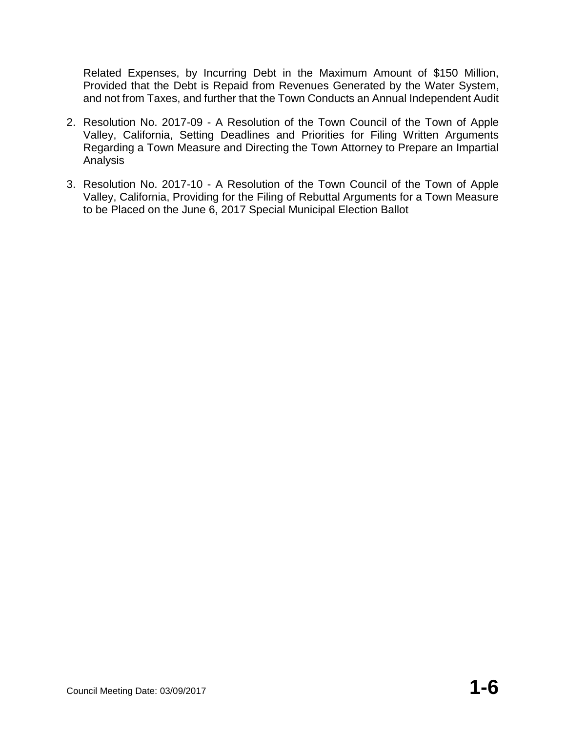Related Expenses, by Incurring Debt in the Maximum Amount of \$150 Million, Provided that the Debt is Repaid from Revenues Generated by the Water System, and not from Taxes, and further that the Town Conducts an Annual Independent Audit

- 2. Resolution No. 2017-09 A Resolution of the Town Council of the Town of Apple Valley, California, Setting Deadlines and Priorities for Filing Written Arguments Regarding a Town Measure and Directing the Town Attorney to Prepare an Impartial Analysis
- 3. Resolution No. 2017-10 A Resolution of the Town Council of the Town of Apple Valley, California, Providing for the Filing of Rebuttal Arguments for a Town Measure to be Placed on the June 6, 2017 Special Municipal Election Ballot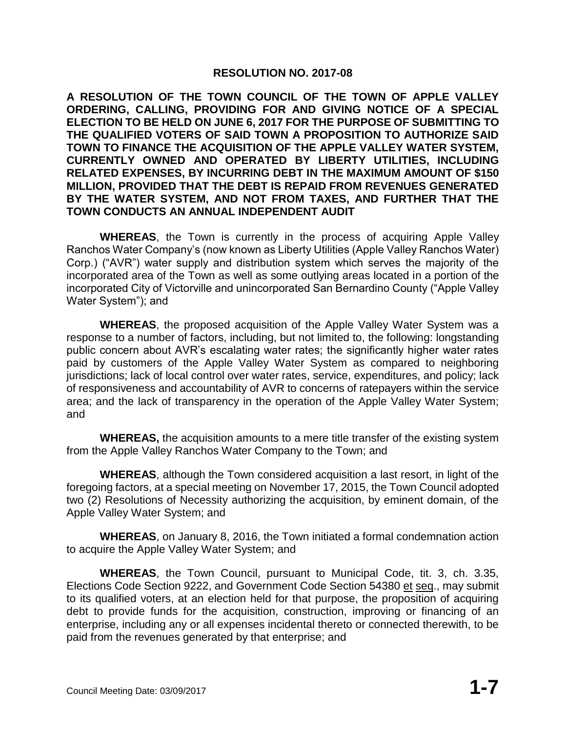#### **RESOLUTION NO. 2017-08**

**A RESOLUTION OF THE TOWN COUNCIL OF THE TOWN OF APPLE VALLEY ORDERING, CALLING, PROVIDING FOR AND GIVING NOTICE OF A SPECIAL ELECTION TO BE HELD ON JUNE 6, 2017 FOR THE PURPOSE OF SUBMITTING TO THE QUALIFIED VOTERS OF SAID TOWN A PROPOSITION TO AUTHORIZE SAID TOWN TO FINANCE THE ACQUISITION OF THE APPLE VALLEY WATER SYSTEM, CURRENTLY OWNED AND OPERATED BY LIBERTY UTILITIES, INCLUDING RELATED EXPENSES, BY INCURRING DEBT IN THE MAXIMUM AMOUNT OF \$150 MILLION, PROVIDED THAT THE DEBT IS REPAID FROM REVENUES GENERATED BY THE WATER SYSTEM, AND NOT FROM TAXES, AND FURTHER THAT THE TOWN CONDUCTS AN ANNUAL INDEPENDENT AUDIT**

**WHEREAS**, the Town is currently in the process of acquiring Apple Valley Ranchos Water Company's (now known as Liberty Utilities (Apple Valley Ranchos Water) Corp.) ("AVR") water supply and distribution system which serves the majority of the incorporated area of the Town as well as some outlying areas located in a portion of the incorporated City of Victorville and unincorporated San Bernardino County ("Apple Valley Water System"); and

**WHEREAS**, the proposed acquisition of the Apple Valley Water System was a response to a number of factors, including, but not limited to, the following: longstanding public concern about AVR's escalating water rates; the significantly higher water rates paid by customers of the Apple Valley Water System as compared to neighboring jurisdictions; lack of local control over water rates, service, expenditures, and policy; lack of responsiveness and accountability of AVR to concerns of ratepayers within the service area; and the lack of transparency in the operation of the Apple Valley Water System; and

**WHEREAS,** the acquisition amounts to a mere title transfer of the existing system from the Apple Valley Ranchos Water Company to the Town; and

**WHEREAS**, although the Town considered acquisition a last resort, in light of the foregoing factors, at a special meeting on November 17, 2015, the Town Council adopted two (2) Resolutions of Necessity authorizing the acquisition, by eminent domain, of the Apple Valley Water System; and

**WHEREAS**, on January 8, 2016, the Town initiated a formal condemnation action to acquire the Apple Valley Water System; and

**WHEREAS**, the Town Council, pursuant to Municipal Code, tit. 3, ch. 3.35, Elections Code Section 9222, and Government Code Section 54380 et seq., may submit to its qualified voters, at an election held for that purpose, the proposition of acquiring debt to provide funds for the acquisition, construction, improving or financing of an enterprise, including any or all expenses incidental thereto or connected therewith, to be paid from the revenues generated by that enterprise; and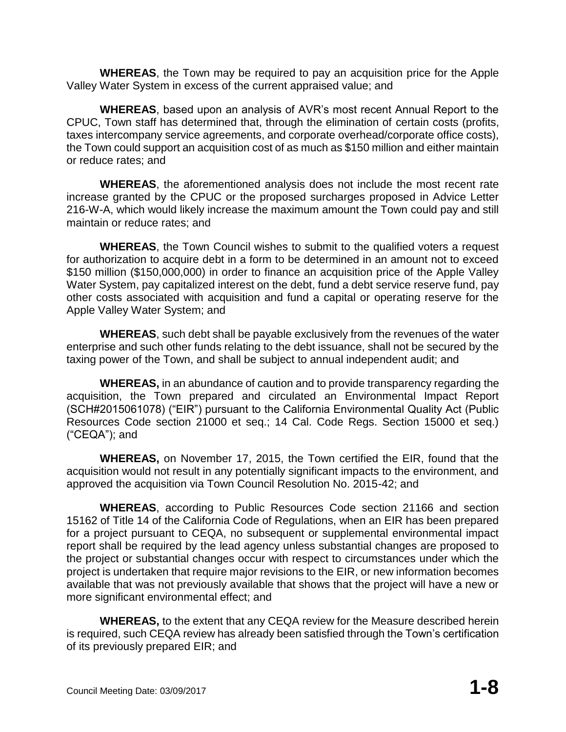**WHEREAS**, the Town may be required to pay an acquisition price for the Apple Valley Water System in excess of the current appraised value; and

**WHEREAS**, based upon an analysis of AVR's most recent Annual Report to the CPUC, Town staff has determined that, through the elimination of certain costs (profits, taxes intercompany service agreements, and corporate overhead/corporate office costs), the Town could support an acquisition cost of as much as \$150 million and either maintain or reduce rates; and

**WHEREAS**, the aforementioned analysis does not include the most recent rate increase granted by the CPUC or the proposed surcharges proposed in Advice Letter 216-W-A, which would likely increase the maximum amount the Town could pay and still maintain or reduce rates; and

**WHEREAS**, the Town Council wishes to submit to the qualified voters a request for authorization to acquire debt in a form to be determined in an amount not to exceed \$150 million (\$150,000,000) in order to finance an acquisition price of the Apple Valley Water System, pay capitalized interest on the debt, fund a debt service reserve fund, pay other costs associated with acquisition and fund a capital or operating reserve for the Apple Valley Water System; and

**WHEREAS**, such debt shall be payable exclusively from the revenues of the water enterprise and such other funds relating to the debt issuance, shall not be secured by the taxing power of the Town, and shall be subject to annual independent audit; and

**WHEREAS,** in an abundance of caution and to provide transparency regarding the acquisition, the Town prepared and circulated an Environmental Impact Report (SCH#2015061078) ("EIR") pursuant to the California Environmental Quality Act (Public Resources Code section 21000 et seq.; 14 Cal. Code Regs. Section 15000 et seq.) ("CEQA"); and

**WHEREAS,** on November 17, 2015, the Town certified the EIR, found that the acquisition would not result in any potentially significant impacts to the environment, and approved the acquisition via Town Council Resolution No. 2015-42; and

**WHEREAS**, according to Public Resources Code section 21166 and section 15162 of Title 14 of the California Code of Regulations, when an EIR has been prepared for a project pursuant to CEQA, no subsequent or supplemental environmental impact report shall be required by the lead agency unless substantial changes are proposed to the project or substantial changes occur with respect to circumstances under which the project is undertaken that require major revisions to the EIR, or new information becomes available that was not previously available that shows that the project will have a new or more significant environmental effect; and

**WHEREAS,** to the extent that any CEQA review for the Measure described herein is required, such CEQA review has already been satisfied through the Town's certification of its previously prepared EIR; and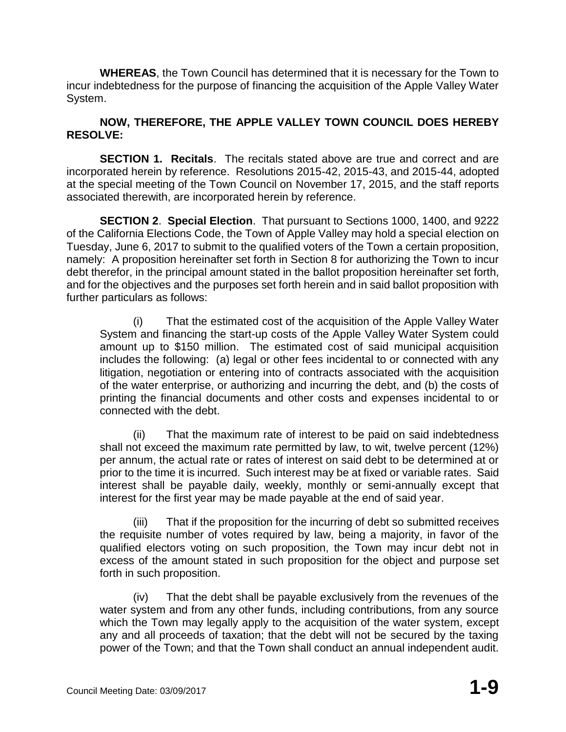**WHEREAS**, the Town Council has determined that it is necessary for the Town to incur indebtedness for the purpose of financing the acquisition of the Apple Valley Water System.

## **NOW, THEREFORE, THE APPLE VALLEY TOWN COUNCIL DOES HEREBY RESOLVE:**

**SECTION 1. Recitals**. The recitals stated above are true and correct and are incorporated herein by reference. Resolutions 2015-42, 2015-43, and 2015-44, adopted at the special meeting of the Town Council on November 17, 2015, and the staff reports associated therewith, are incorporated herein by reference.

**SECTION 2**. **Special Election**. That pursuant to Sections 1000, 1400, and 9222 of the California Elections Code, the Town of Apple Valley may hold a special election on Tuesday, June 6, 2017 to submit to the qualified voters of the Town a certain proposition, namely: A proposition hereinafter set forth in Section 8 for authorizing the Town to incur debt therefor, in the principal amount stated in the ballot proposition hereinafter set forth, and for the objectives and the purposes set forth herein and in said ballot proposition with further particulars as follows:

(i) That the estimated cost of the acquisition of the Apple Valley Water System and financing the start-up costs of the Apple Valley Water System could amount up to \$150 million. The estimated cost of said municipal acquisition includes the following: (a) legal or other fees incidental to or connected with any litigation, negotiation or entering into of contracts associated with the acquisition of the water enterprise, or authorizing and incurring the debt, and (b) the costs of printing the financial documents and other costs and expenses incidental to or connected with the debt.

(ii) That the maximum rate of interest to be paid on said indebtedness shall not exceed the maximum rate permitted by law, to wit, twelve percent (12%) per annum, the actual rate or rates of interest on said debt to be determined at or prior to the time it is incurred. Such interest may be at fixed or variable rates. Said interest shall be payable daily, weekly, monthly or semi-annually except that interest for the first year may be made payable at the end of said year.

(iii) That if the proposition for the incurring of debt so submitted receives the requisite number of votes required by law, being a majority, in favor of the qualified electors voting on such proposition, the Town may incur debt not in excess of the amount stated in such proposition for the object and purpose set forth in such proposition.

(iv) That the debt shall be payable exclusively from the revenues of the water system and from any other funds, including contributions, from any source which the Town may legally apply to the acquisition of the water system, except any and all proceeds of taxation; that the debt will not be secured by the taxing power of the Town; and that the Town shall conduct an annual independent audit.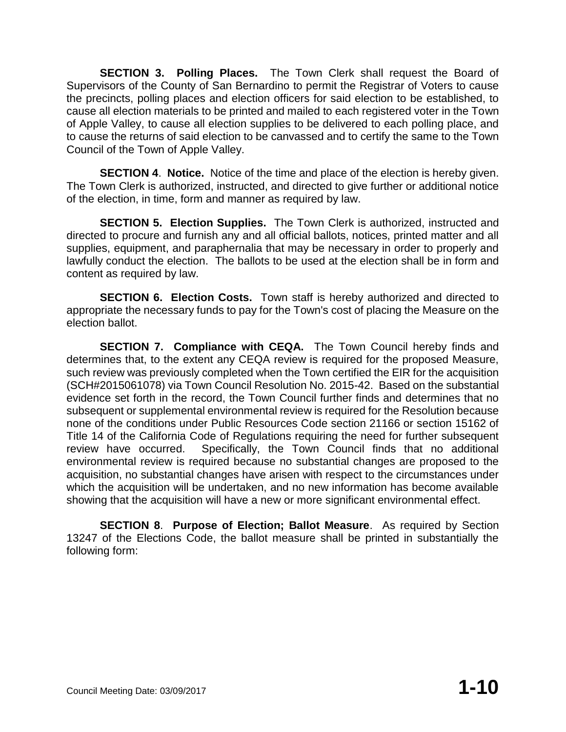**SECTION 3. Polling Places.** The Town Clerk shall request the Board of Supervisors of the County of San Bernardino to permit the Registrar of Voters to cause the precincts, polling places and election officers for said election to be established, to cause all election materials to be printed and mailed to each registered voter in the Town of Apple Valley, to cause all election supplies to be delivered to each polling place, and to cause the returns of said election to be canvassed and to certify the same to the Town Council of the Town of Apple Valley.

**SECTION 4**. **Notice.** Notice of the time and place of the election is hereby given. The Town Clerk is authorized, instructed, and directed to give further or additional notice of the election, in time, form and manner as required by law.

**SECTION 5. Election Supplies.** The Town Clerk is authorized, instructed and directed to procure and furnish any and all official ballots, notices, printed matter and all supplies, equipment, and paraphernalia that may be necessary in order to properly and lawfully conduct the election. The ballots to be used at the election shall be in form and content as required by law.

**SECTION 6. Election Costs.** Town staff is hereby authorized and directed to appropriate the necessary funds to pay for the Town's cost of placing the Measure on the election ballot.

**SECTION 7. Compliance with CEQA.** The Town Council hereby finds and determines that, to the extent any CEQA review is required for the proposed Measure, such review was previously completed when the Town certified the EIR for the acquisition (SCH#2015061078) via Town Council Resolution No. 2015-42. Based on the substantial evidence set forth in the record, the Town Council further finds and determines that no subsequent or supplemental environmental review is required for the Resolution because none of the conditions under Public Resources Code section 21166 or section 15162 of Title 14 of the California Code of Regulations requiring the need for further subsequent review have occurred. Specifically, the Town Council finds that no additional environmental review is required because no substantial changes are proposed to the acquisition, no substantial changes have arisen with respect to the circumstances under which the acquisition will be undertaken, and no new information has become available showing that the acquisition will have a new or more significant environmental effect.

**SECTION 8**. **Purpose of Election; Ballot Measure**. As required by Section 13247 of the Elections Code, the ballot measure shall be printed in substantially the following form: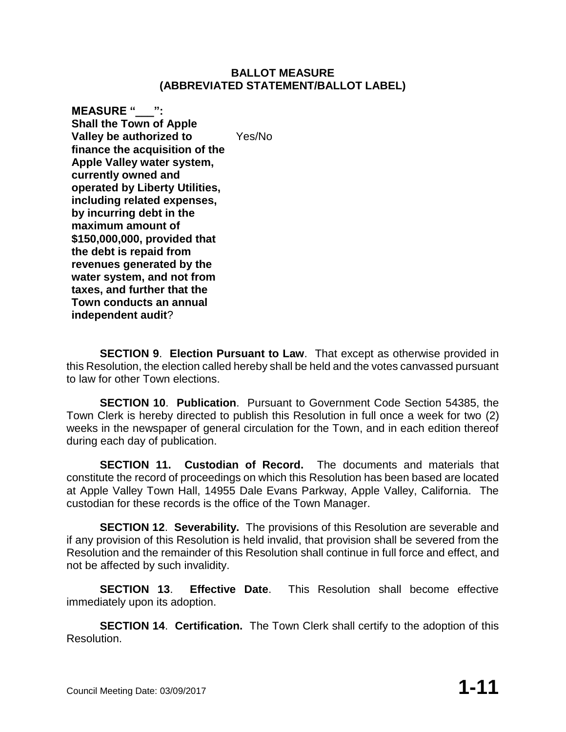#### **BALLOT MEASURE (ABBREVIATED STATEMENT/BALLOT LABEL)**

**MEASURE "\_\_\_": Shall the Town of Apple Valley be authorized to finance the acquisition of the Apple Valley water system, currently owned and operated by Liberty Utilities, including related expenses, by incurring debt in the maximum amount of \$150,000,000, provided that the debt is repaid from revenues generated by the water system, and not from taxes, and further that the Town conducts an annual independent audit**? Yes/No

**SECTION 9**. **Election Pursuant to Law**. That except as otherwise provided in this Resolution, the election called hereby shall be held and the votes canvassed pursuant to law for other Town elections.

**SECTION 10**. **Publication**. Pursuant to Government Code Section 54385, the Town Clerk is hereby directed to publish this Resolution in full once a week for two (2) weeks in the newspaper of general circulation for the Town, and in each edition thereof during each day of publication.

**SECTION 11. Custodian of Record.** The documents and materials that constitute the record of proceedings on which this Resolution has been based are located at Apple Valley Town Hall, 14955 Dale Evans Parkway, Apple Valley, California. The custodian for these records is the office of the Town Manager.

**SECTION 12**. **Severability.** The provisions of this Resolution are severable and if any provision of this Resolution is held invalid, that provision shall be severed from the Resolution and the remainder of this Resolution shall continue in full force and effect, and not be affected by such invalidity.

**SECTION 13**. **Effective Date**. This Resolution shall become effective immediately upon its adoption.

**SECTION 14**. **Certification.** The Town Clerk shall certify to the adoption of this Resolution.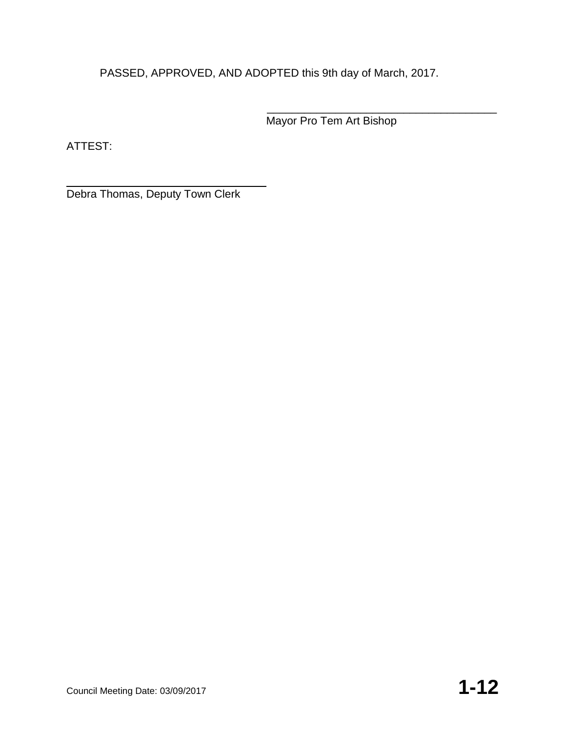PASSED, APPROVED, AND ADOPTED this 9th day of March, 2017.

\_\_\_\_\_\_\_\_\_\_\_\_\_\_\_\_\_\_\_\_\_\_\_\_\_\_\_\_\_\_\_\_\_\_\_\_\_ Mayor Pro Tem Art Bishop

ATTEST:

Debra Thomas, Deputy Town Clerk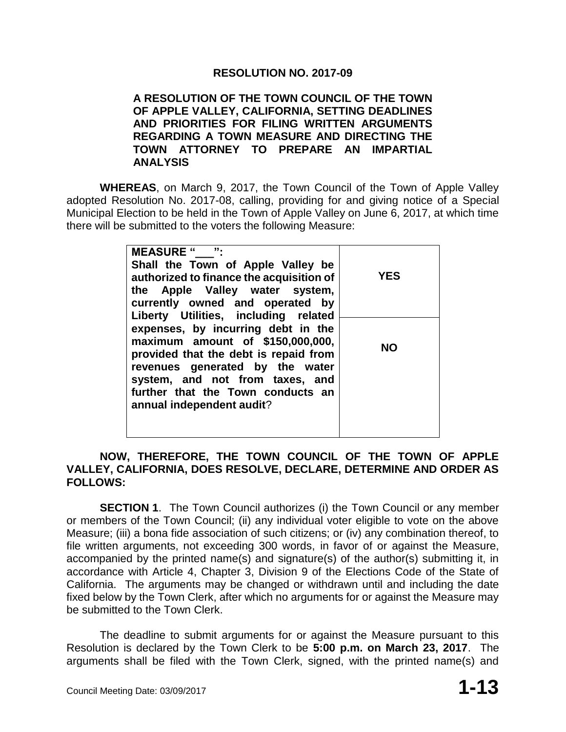## **RESOLUTION NO. 2017-09**

#### **A RESOLUTION OF THE TOWN COUNCIL OF THE TOWN OF APPLE VALLEY, CALIFORNIA, SETTING DEADLINES AND PRIORITIES FOR FILING WRITTEN ARGUMENTS REGARDING A TOWN MEASURE AND DIRECTING THE TOWN ATTORNEY TO PREPARE AN IMPARTIAL ANALYSIS**

**WHEREAS**, on March 9, 2017, the Town Council of the Town of Apple Valley adopted Resolution No. 2017-08, calling, providing for and giving notice of a Special Municipal Election to be held in the Town of Apple Valley on June 6, 2017, at which time there will be submitted to the voters the following Measure:

| <b>MEASURE " ":</b><br>Shall the Town of Apple Valley be<br>authorized to finance the acquisition of<br>the Apple Valley water system,<br>currently owned and operated by                                                                                                                       | <b>YES</b> |
|-------------------------------------------------------------------------------------------------------------------------------------------------------------------------------------------------------------------------------------------------------------------------------------------------|------------|
| Liberty Utilities, including related<br>expenses, by incurring debt in the<br>maximum amount of \$150,000,000,<br>provided that the debt is repaid from<br>revenues generated by the water<br>system, and not from taxes, and<br>further that the Town conducts an<br>annual independent audit? | NO.        |

### **NOW, THEREFORE, THE TOWN COUNCIL OF THE TOWN OF APPLE VALLEY, CALIFORNIA, DOES RESOLVE, DECLARE, DETERMINE AND ORDER AS FOLLOWS:**

**SECTION 1.** The Town Council authorizes (i) the Town Council or any member or members of the Town Council; (ii) any individual voter eligible to vote on the above Measure; (iii) a bona fide association of such citizens; or (iv) any combination thereof, to file written arguments, not exceeding 300 words, in favor of or against the Measure, accompanied by the printed name(s) and signature(s) of the author(s) submitting it, in accordance with Article 4, Chapter 3, Division 9 of the Elections Code of the State of California. The arguments may be changed or withdrawn until and including the date fixed below by the Town Clerk, after which no arguments for or against the Measure may be submitted to the Town Clerk.

The deadline to submit arguments for or against the Measure pursuant to this Resolution is declared by the Town Clerk to be **5:00 p.m. on March 23, 2017**. The arguments shall be filed with the Town Clerk, signed, with the printed name(s) and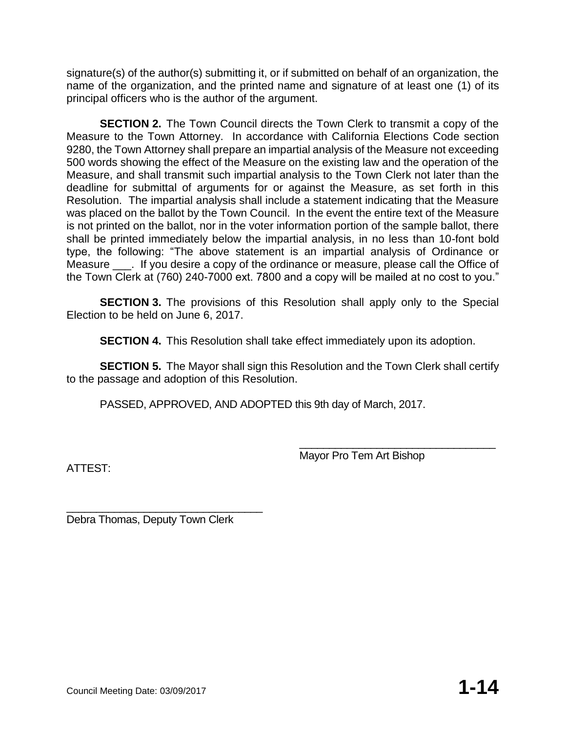signature(s) of the author(s) submitting it, or if submitted on behalf of an organization, the name of the organization, and the printed name and signature of at least one (1) of its principal officers who is the author of the argument.

**SECTION 2.** The Town Council directs the Town Clerk to transmit a copy of the Measure to the Town Attorney. In accordance with California Elections Code section 9280, the Town Attorney shall prepare an impartial analysis of the Measure not exceeding 500 words showing the effect of the Measure on the existing law and the operation of the Measure, and shall transmit such impartial analysis to the Town Clerk not later than the deadline for submittal of arguments for or against the Measure, as set forth in this Resolution. The impartial analysis shall include a statement indicating that the Measure was placed on the ballot by the Town Council. In the event the entire text of the Measure is not printed on the ballot, nor in the voter information portion of the sample ballot, there shall be printed immediately below the impartial analysis, in no less than 10-font bold type, the following: "The above statement is an impartial analysis of Ordinance or Measure . If you desire a copy of the ordinance or measure, please call the Office of the Town Clerk at (760) 240-7000 ext. 7800 and a copy will be mailed at no cost to you."

**SECTION 3.** The provisions of this Resolution shall apply only to the Special Election to be held on June 6, 2017.

**SECTION 4.** This Resolution shall take effect immediately upon its adoption.

**SECTION 5.** The Mayor shall sign this Resolution and the Town Clerk shall certify to the passage and adoption of this Resolution.

PASSED, APPROVED, AND ADOPTED this 9th day of March, 2017.

ATTEST:

\_\_\_\_\_\_\_\_\_\_\_\_\_\_\_\_\_\_\_\_\_\_\_\_\_\_\_\_\_\_\_\_\_ Mayor Pro Tem Art Bishop

Debra Thomas, Deputy Town Clerk

\_\_\_\_\_\_\_\_\_\_\_\_\_\_\_\_\_\_\_\_\_\_\_\_\_\_\_\_\_\_\_\_\_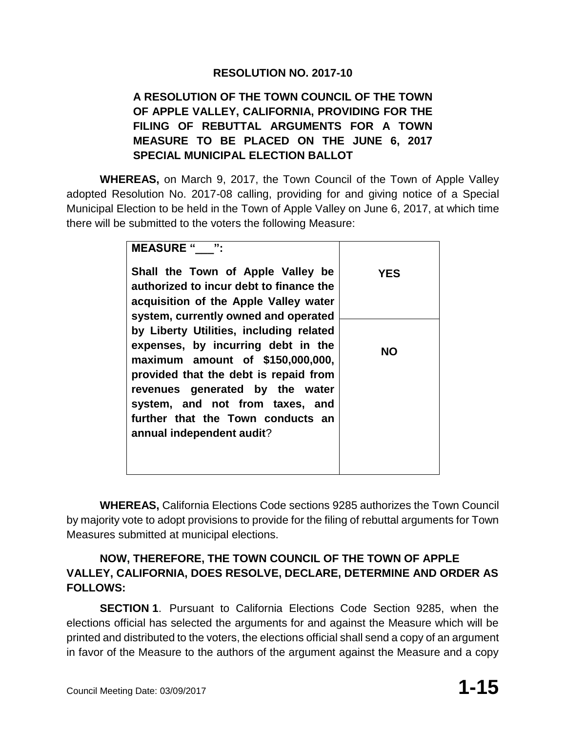## **RESOLUTION NO. 2017-10**

# **A RESOLUTION OF THE TOWN COUNCIL OF THE TOWN OF APPLE VALLEY, CALIFORNIA, PROVIDING FOR THE FILING OF REBUTTAL ARGUMENTS FOR A TOWN MEASURE TO BE PLACED ON THE JUNE 6, 2017 SPECIAL MUNICIPAL ELECTION BALLOT**

**WHEREAS,** on March 9, 2017, the Town Council of the Town of Apple Valley adopted Resolution No. 2017-08 calling, providing for and giving notice of a Special Municipal Election to be held in the Town of Apple Valley on June 6, 2017, at which time there will be submitted to the voters the following Measure:

| "<br><b>MEASURE "</b>                   |            |
|-----------------------------------------|------------|
| Shall the Town of Apple Valley be       | <b>YES</b> |
| authorized to incur debt to finance the |            |
| acquisition of the Apple Valley water   |            |
| system, currently owned and operated    |            |
| by Liberty Utilities, including related |            |
| expenses, by incurring debt in the      | <b>NO</b>  |
| maximum amount of \$150,000,000,        |            |
| provided that the debt is repaid from   |            |
| revenues generated by the water         |            |
| system, and not from taxes, and         |            |
| further that the Town conducts an       |            |
| annual independent audit?               |            |
|                                         |            |
|                                         |            |

**WHEREAS,** California Elections Code sections 9285 authorizes the Town Council by majority vote to adopt provisions to provide for the filing of rebuttal arguments for Town Measures submitted at municipal elections.

# **NOW, THEREFORE, THE TOWN COUNCIL OF THE TOWN OF APPLE VALLEY, CALIFORNIA, DOES RESOLVE, DECLARE, DETERMINE AND ORDER AS FOLLOWS:**

**SECTION 1**. Pursuant to California Elections Code Section 9285, when the elections official has selected the arguments for and against the Measure which will be printed and distributed to the voters, the elections official shall send a copy of an argument in favor of the Measure to the authors of the argument against the Measure and a copy